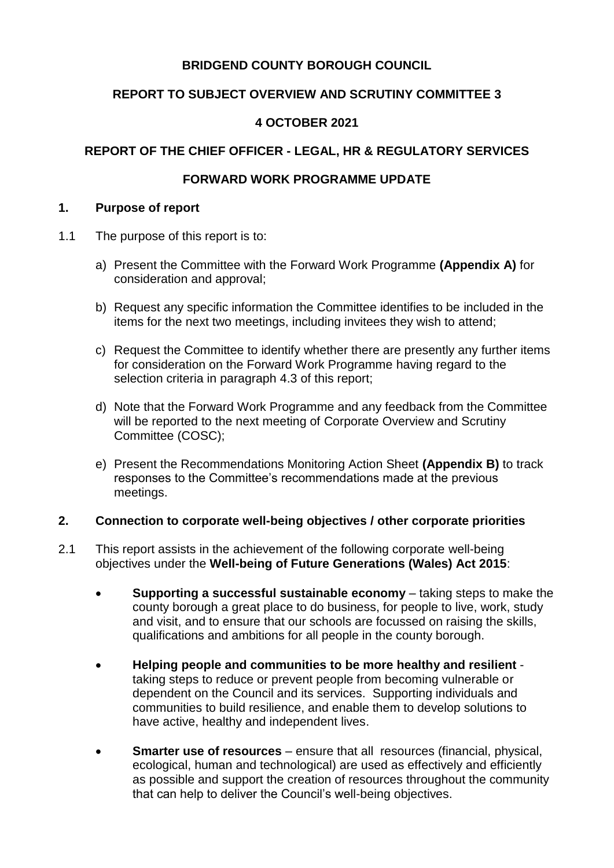# **BRIDGEND COUNTY BOROUGH COUNCIL**

# **REPORT TO SUBJECT OVERVIEW AND SCRUTINY COMMITTEE 3**

### **4 OCTOBER 2021**

# **REPORT OF THE CHIEF OFFICER - LEGAL, HR & REGULATORY SERVICES**

# **FORWARD WORK PROGRAMME UPDATE**

#### **1. Purpose of report**

- 1.1 The purpose of this report is to:
	- a) Present the Committee with the Forward Work Programme **(Appendix A)** for consideration and approval;
	- b) Request any specific information the Committee identifies to be included in the items for the next two meetings, including invitees they wish to attend;
	- c) Request the Committee to identify whether there are presently any further items for consideration on the Forward Work Programme having regard to the selection criteria in paragraph 4.3 of this report;
	- d) Note that the Forward Work Programme and any feedback from the Committee will be reported to the next meeting of Corporate Overview and Scrutiny Committee (COSC);
	- e) Present the Recommendations Monitoring Action Sheet **(Appendix B)** to track responses to the Committee's recommendations made at the previous meetings.

#### **2. Connection to corporate well-being objectives / other corporate priorities**

- 2.1 This report assists in the achievement of the following corporate well-being objectives under the **Well-being of Future Generations (Wales) Act 2015**:
	- **Supporting a successful sustainable economy** taking steps to make the county borough a great place to do business, for people to live, work, study and visit, and to ensure that our schools are focussed on raising the skills, qualifications and ambitions for all people in the county borough.
	- **Helping people and communities to be more healthy and resilient** taking steps to reduce or prevent people from becoming vulnerable or dependent on the Council and its services. Supporting individuals and communities to build resilience, and enable them to develop solutions to have active, healthy and independent lives.
	- **Smarter use of resources** ensure that all resources (financial, physical, ecological, human and technological) are used as effectively and efficiently as possible and support the creation of resources throughout the community that can help to deliver the Council's well-being objectives.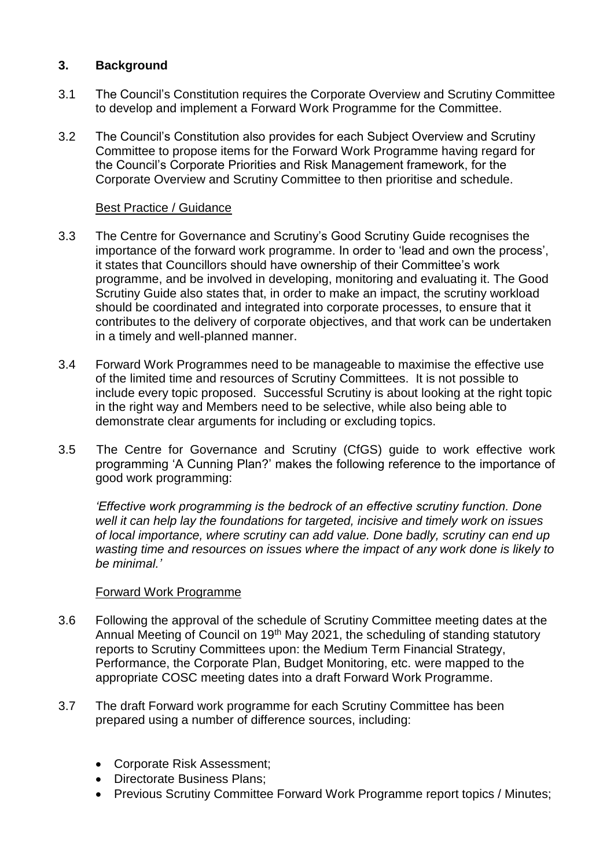## **3. Background**

- 3.1 The Council's Constitution requires the Corporate Overview and Scrutiny Committee to develop and implement a Forward Work Programme for the Committee.
- 3.2 The Council's Constitution also provides for each Subject Overview and Scrutiny Committee to propose items for the Forward Work Programme having regard for the Council's Corporate Priorities and Risk Management framework, for the Corporate Overview and Scrutiny Committee to then prioritise and schedule.

### Best Practice / Guidance

- 3.3 The Centre for Governance and Scrutiny's Good Scrutiny Guide recognises the importance of the forward work programme. In order to 'lead and own the process', it states that Councillors should have ownership of their Committee's work programme, and be involved in developing, monitoring and evaluating it. The Good Scrutiny Guide also states that, in order to make an impact, the scrutiny workload should be coordinated and integrated into corporate processes, to ensure that it contributes to the delivery of corporate objectives, and that work can be undertaken in a timely and well-planned manner.
- 3.4 Forward Work Programmes need to be manageable to maximise the effective use of the limited time and resources of Scrutiny Committees. It is not possible to include every topic proposed. Successful Scrutiny is about looking at the right topic in the right way and Members need to be selective, while also being able to demonstrate clear arguments for including or excluding topics.
- 3.5 The Centre for Governance and Scrutiny (CfGS) guide to work effective work programming 'A Cunning Plan?' makes the following reference to the importance of good work programming:

*'Effective work programming is the bedrock of an effective scrutiny function. Done well it can help lay the foundations for targeted, incisive and timely work on issues of local importance, where scrutiny can add value. Done badly, scrutiny can end up wasting time and resources on issues where the impact of any work done is likely to be minimal.'*

#### Forward Work Programme

- 3.6 Following the approval of the schedule of Scrutiny Committee meeting dates at the Annual Meeting of Council on 19<sup>th</sup> May 2021, the scheduling of standing statutory reports to Scrutiny Committees upon: the Medium Term Financial Strategy, Performance, the Corporate Plan, Budget Monitoring, etc. were mapped to the appropriate COSC meeting dates into a draft Forward Work Programme.
- 3.7 The draft Forward work programme for each Scrutiny Committee has been prepared using a number of difference sources, including:
	- Corporate Risk Assessment;
	- Directorate Business Plans;
	- Previous Scrutiny Committee Forward Work Programme report topics / Minutes;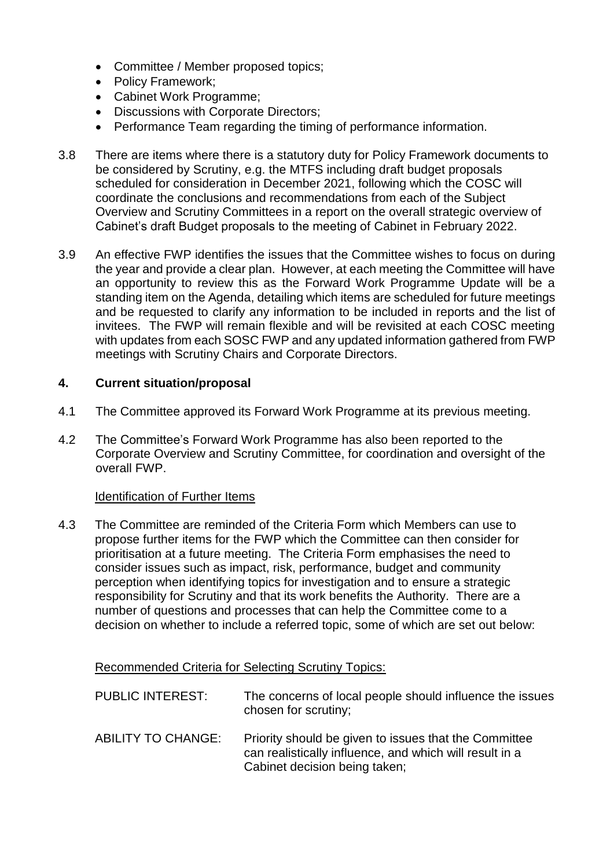- Committee / Member proposed topics;
- Policy Framework;
- Cabinet Work Programme;
- Discussions with Corporate Directors;
- Performance Team regarding the timing of performance information.
- 3.8 There are items where there is a statutory duty for Policy Framework documents to be considered by Scrutiny, e.g. the MTFS including draft budget proposals scheduled for consideration in December 2021, following which the COSC will coordinate the conclusions and recommendations from each of the Subject Overview and Scrutiny Committees in a report on the overall strategic overview of Cabinet's draft Budget proposals to the meeting of Cabinet in February 2022.
- 3.9 An effective FWP identifies the issues that the Committee wishes to focus on during the year and provide a clear plan. However, at each meeting the Committee will have an opportunity to review this as the Forward Work Programme Update will be a standing item on the Agenda, detailing which items are scheduled for future meetings and be requested to clarify any information to be included in reports and the list of invitees. The FWP will remain flexible and will be revisited at each COSC meeting with updates from each SOSC FWP and any updated information gathered from FWP meetings with Scrutiny Chairs and Corporate Directors.

#### **4. Current situation/proposal**

- 4.1 The Committee approved its Forward Work Programme at its previous meeting.
- 4.2 The Committee's Forward Work Programme has also been reported to the Corporate Overview and Scrutiny Committee, for coordination and oversight of the overall FWP.

#### Identification of Further Items

4.3 The Committee are reminded of the Criteria Form which Members can use to propose further items for the FWP which the Committee can then consider for prioritisation at a future meeting. The Criteria Form emphasises the need to consider issues such as impact, risk, performance, budget and community perception when identifying topics for investigation and to ensure a strategic responsibility for Scrutiny and that its work benefits the Authority. There are a number of questions and processes that can help the Committee come to a decision on whether to include a referred topic, some of which are set out below:

Recommended Criteria for Selecting Scrutiny Topics:

PUBLIC INTEREST: The concerns of local people should influence the issues chosen for scrutiny;

ABILITY TO CHANGE: Priority should be given to issues that the Committee can realistically influence, and which will result in a Cabinet decision being taken;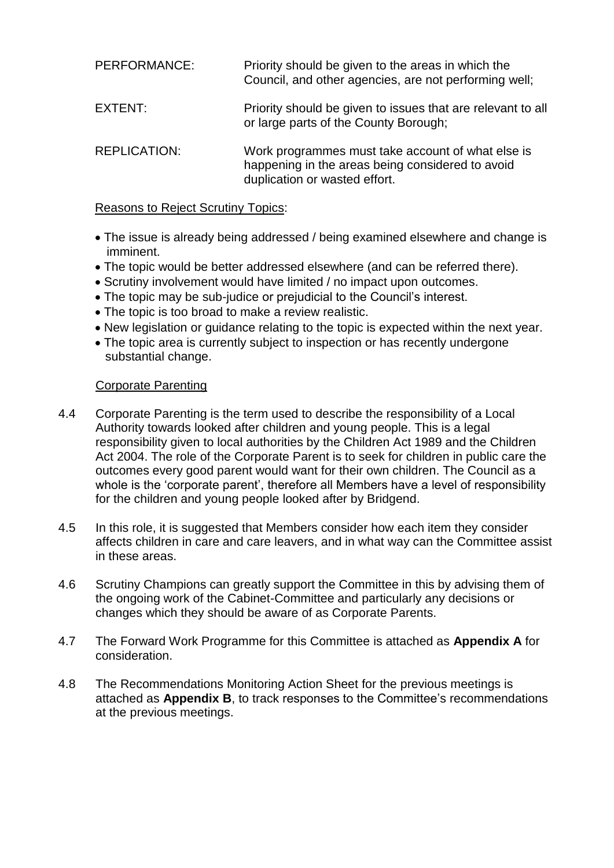| PERFORMANCE:        | Priority should be given to the areas in which the<br>Council, and other agencies, are not performing well;                            |
|---------------------|----------------------------------------------------------------------------------------------------------------------------------------|
| EXTENT:             | Priority should be given to issues that are relevant to all<br>or large parts of the County Borough;                                   |
| <b>REPLICATION:</b> | Work programmes must take account of what else is<br>happening in the areas being considered to avoid<br>duplication or wasted effort. |

#### Reasons to Reject Scrutiny Topics:

- The issue is already being addressed / being examined elsewhere and change is imminent.
- The topic would be better addressed elsewhere (and can be referred there).
- Scrutiny involvement would have limited / no impact upon outcomes.
- The topic may be sub-judice or prejudicial to the Council's interest.
- The topic is too broad to make a review realistic.
- New legislation or guidance relating to the topic is expected within the next year.
- The topic area is currently subject to inspection or has recently undergone substantial change.

### Corporate Parenting

- 4.4 Corporate Parenting is the term used to describe the responsibility of a Local Authority towards looked after children and young people. This is a legal responsibility given to local authorities by the Children Act 1989 and the Children Act 2004. The role of the Corporate Parent is to seek for children in public care the outcomes every good parent would want for their own children. The Council as a whole is the 'corporate parent', therefore all Members have a level of responsibility for the children and young people looked after by Bridgend.
- 4.5 In this role, it is suggested that Members consider how each item they consider affects children in care and care leavers, and in what way can the Committee assist in these areas.
- 4.6 Scrutiny Champions can greatly support the Committee in this by advising them of the ongoing work of the Cabinet-Committee and particularly any decisions or changes which they should be aware of as Corporate Parents.
- 4.7 The Forward Work Programme for this Committee is attached as **Appendix A** for consideration.
- 4.8 The Recommendations Monitoring Action Sheet for the previous meetings is attached as **Appendix B**, to track responses to the Committee's recommendations at the previous meetings.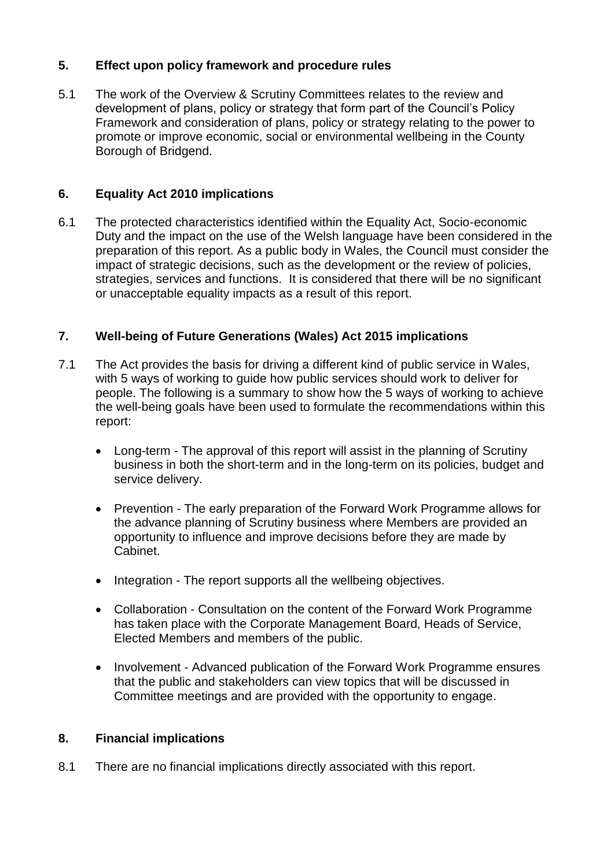# **5. Effect upon policy framework and procedure rules**

5.1 The work of the Overview & Scrutiny Committees relates to the review and development of plans, policy or strategy that form part of the Council's Policy Framework and consideration of plans, policy or strategy relating to the power to promote or improve economic, social or environmental wellbeing in the County Borough of Bridgend.

### **6. Equality Act 2010 implications**

6.1 The protected characteristics identified within the Equality Act, Socio-economic Duty and the impact on the use of the Welsh language have been considered in the preparation of this report. As a public body in Wales, the Council must consider the impact of strategic decisions, such as the development or the review of policies, strategies, services and functions. It is considered that there will be no significant or unacceptable equality impacts as a result of this report.

# **7. Well-being of Future Generations (Wales) Act 2015 implications**

- 7.1 The Act provides the basis for driving a different kind of public service in Wales, with 5 ways of working to guide how public services should work to deliver for people. The following is a summary to show how the 5 ways of working to achieve the well-being goals have been used to formulate the recommendations within this report:
	- Long-term The approval of this report will assist in the planning of Scrutiny business in both the short-term and in the long-term on its policies, budget and service delivery.
	- Prevention The early preparation of the Forward Work Programme allows for the advance planning of Scrutiny business where Members are provided an opportunity to influence and improve decisions before they are made by Cabinet.
	- Integration The report supports all the wellbeing objectives.
	- Collaboration Consultation on the content of the Forward Work Programme has taken place with the Corporate Management Board, Heads of Service, Elected Members and members of the public.
	- Involvement Advanced publication of the Forward Work Programme ensures that the public and stakeholders can view topics that will be discussed in Committee meetings and are provided with the opportunity to engage.

### **8. Financial implications**

8.1 There are no financial implications directly associated with this report.